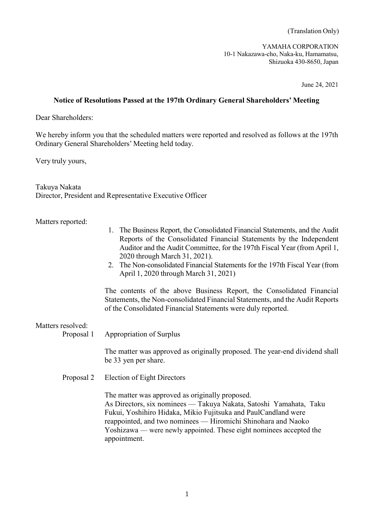(Translation Only)

YAMAHA CORPORATION 10-1 Nakazawa-cho, Naka-ku, Hamamatsu, Shizuoka 430-8650, Japan

June 24, 2021

## **Notice of Resolutions Passed at the 197th Ordinary General Shareholders' Meeting**

Dear Shareholders:

We hereby inform you that the scheduled matters were reported and resolved as follows at the 197th Ordinary General Shareholders' Meeting held today.

Very truly yours,

Takuya Nakata Director, President and Representative Executive Officer

## Matters reported:

- 1. The Business Report, the Consolidated Financial Statements, and the Audit Reports of the Consolidated Financial Statements by the Independent Auditor and the Audit Committee, for the 197th Fiscal Year (from April 1, 2020 through March 31, 2021).
- 2. The Non-consolidated Financial Statements for the 197th Fiscal Year (from April 1, 2020 through March 31, 2021)

The contents of the above Business Report, the Consolidated Financial Statements, the Non-consolidated Financial Statements, and the Audit Reports of the Consolidated Financial Statements were duly reported.

## Matters resolved:

Proposal 1 Appropriation of Surplus

The matter was approved as originally proposed. The year-end dividend shall be 33 yen per share.

Proposal 2 Election of Eight Directors

The matter was approved as originally proposed. As Directors, six nominees –– Takuya Nakata, Satoshi Yamahata, Taku Fukui, Yoshihiro Hidaka, Mikio Fujitsuka and PaulCandland were reappointed, and two nominees –– Hiromichi Shinohara and Naoko Yoshizawa –– were newly appointed. These eight nominees accepted the appointment.